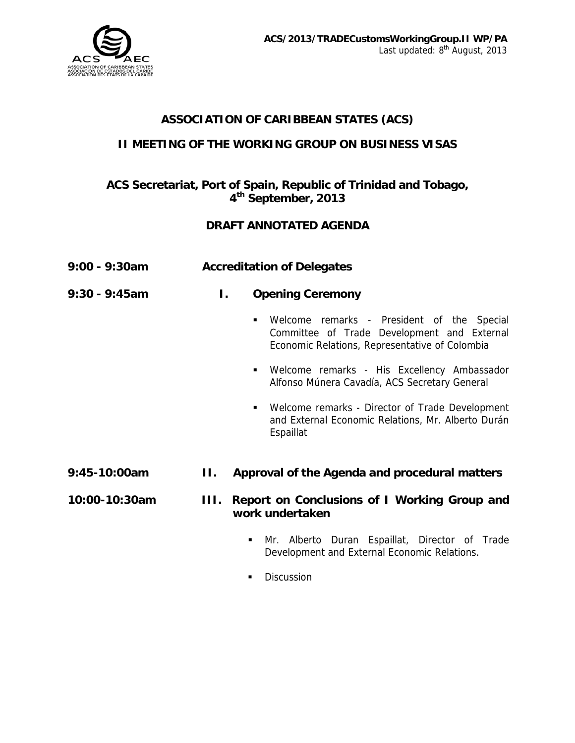

# **ASSOCIATION OF CARIBBEAN STATES (ACS)**

### **II MEETING OF THE WORKING GROUP ON BUSINESS VISAS**

## **ACS Secretariat, Port of Spain, Republic of Trinidad and Tobago, 4th September, 2013**

### **DRAFT ANNOTATED AGENDA**

| $9:00 - 9:30$ am | <b>Accreditation of Delegates</b>                                                                                                                             |
|------------------|---------------------------------------------------------------------------------------------------------------------------------------------------------------|
| $9:30 - 9:45am$  | <b>Opening Ceremony</b><br>I.                                                                                                                                 |
|                  | Welcome remarks - President of the Special<br>$\blacksquare$<br>Committee of Trade Development and External<br>Economic Relations, Representative of Colombia |
|                  | Welcome remarks - His Excellency Ambassador<br>$\blacksquare$<br>Alfonso Múnera Cavadía, ACS Secretary General                                                |
|                  | Welcome remarks - Director of Trade Development<br>$\blacksquare$<br>and External Economic Relations, Mr. Alberto Durán<br>Espaillat                          |
| 9:45-10:00am     | H.,<br>Approval of the Agenda and procedural matters                                                                                                          |
| 10:00-10:30am    | Report on Conclusions of I Working Group and<br>Ш.<br>work undertaken                                                                                         |
|                  | Mr. Alberto Duran Espaillat, Director of Trade<br>٠<br>Development and External Economic Relations.                                                           |

**Discussion**